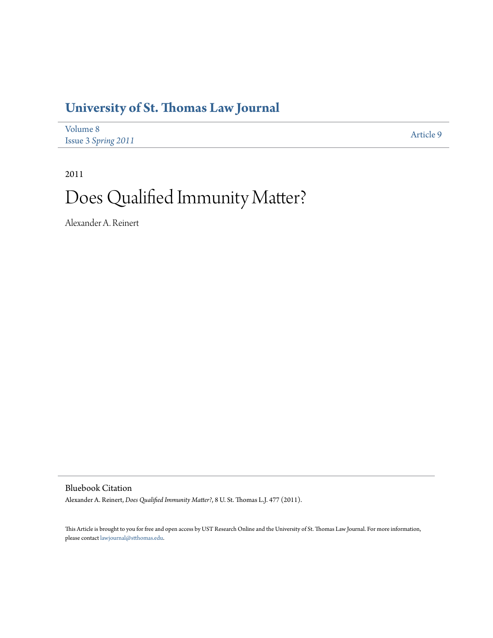# **[University of St. Thomas Law Journal](http://ir.stthomas.edu/ustlj)**

| Volume 8            | Article 9 |
|---------------------|-----------|
| Issue 3 Spring 2011 |           |

2011

# Does Qualified Immunity Matter?

Alexander A. Reinert

Bluebook Citation

Alexander A. Reinert, *Does Qualified Immunity Matter?*, 8 U. St. Thomas L.J. 477 (2011).

This Article is brought to you for free and open access by UST Research Online and the University of St. Thomas Law Journal. For more information, please contact [lawjournal@stthomas.edu.](mailto:lawjournal@stthomas.edu)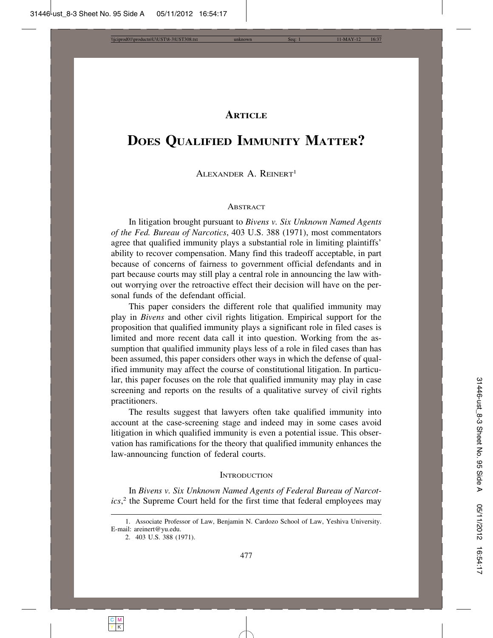# **ARTICLE**

# **DOES QUALIFIED IMMUNITY MATTER?**

# ALEXANDER A. REINERT1

### **ABSTRACT**

In litigation brought pursuant to *Bivens v. Six Unknown Named Agents of the Fed. Bureau of Narcotics*, 403 U.S. 388 (1971), most commentators agree that qualified immunity plays a substantial role in limiting plaintiffs' ability to recover compensation. Many find this tradeoff acceptable, in part because of concerns of fairness to government official defendants and in part because courts may still play a central role in announcing the law without worrying over the retroactive effect their decision will have on the personal funds of the defendant official.

This paper considers the different role that qualified immunity may play in *Bivens* and other civil rights litigation. Empirical support for the proposition that qualified immunity plays a significant role in filed cases is limited and more recent data call it into question. Working from the assumption that qualified immunity plays less of a role in filed cases than has been assumed, this paper considers other ways in which the defense of qualified immunity may affect the course of constitutional litigation. In particular, this paper focuses on the role that qualified immunity may play in case screening and reports on the results of a qualitative survey of civil rights practitioners.

The results suggest that lawyers often take qualified immunity into account at the case-screening stage and indeed may in some cases avoid litigation in which qualified immunity is even a potential issue. This observation has ramifications for the theory that qualified immunity enhances the law-announcing function of federal courts.

#### **INTRODUCTION**

In *Bivens v. Six Unknown Named Agents of Federal Bureau of Narcotics*, 2 the Supreme Court held for the first time that federal employees may

<sup>1.</sup> Associate Professor of Law, Benjamin N. Cardozo School of Law, Yeshiva University. E-mail: areinert@yu.edu.

<sup>2. 403</sup> U.S. 388 (1971).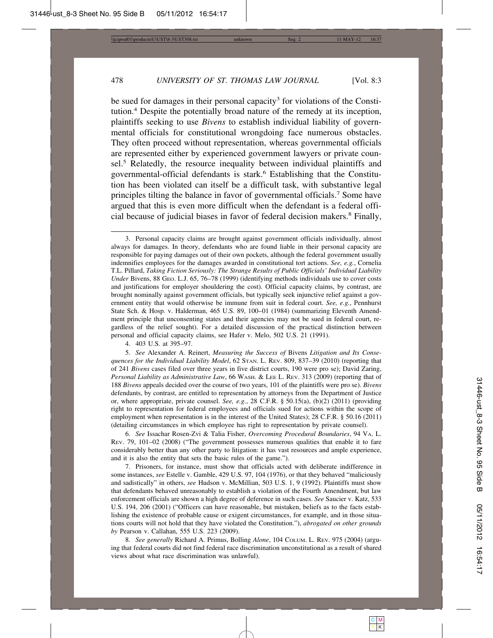be sued for damages in their personal capacity<sup>3</sup> for violations of the Constitution.4 Despite the potentially broad nature of the remedy at its inception, plaintiffs seeking to use *Bivens* to establish individual liability of governmental officials for constitutional wrongdoing face numerous obstacles. They often proceed without representation, whereas governmental officials are represented either by experienced government lawyers or private counsel.<sup>5</sup> Relatedly, the resource inequality between individual plaintiffs and governmental-official defendants is stark.<sup>6</sup> Establishing that the Constitution has been violated can itself be a difficult task, with substantive legal principles tilting the balance in favor of governmental officials.<sup>7</sup> Some have argued that this is even more difficult when the defendant is a federal official because of judicial biases in favor of federal decision makers.<sup>8</sup> Finally,

4. 403 U.S. at 395–97.

5. *See* Alexander A. Reinert, *Measuring the Success of* Bivens *Litigation and Its Consequences for the Individual Liability Model*, 62 STAN. L. REV. 809, 837–39 (2010) (reporting that of 241 *Bivens* cases filed over three years in five district courts, 190 were pro se); David Zaring, *Personal Liability as Administrative Law*, 66 WASH. & LEE L. REV. 313 (2009) (reporting that of 188 *Bivens* appeals decided over the course of two years, 101 of the plaintiffs were pro se). *Bivens* defendants, by contrast, are entitled to representation by attorneys from the Department of Justice or, where appropriate, private counsel. *See, e.g.*, 28 C.F.R. § 50.15(a), (b)(2) (2011) (providing right to representation for federal employees and officials sued for actions within the scope of employment when representation is in the interest of the United States); 28 C.F.R. § 50.16 (2011) (detailing circumstances in which employee has right to representation by private counsel).

6. *See* Issachar Rosen-Zvi & Talia Fisher, *Overcoming Procedural Boundaries*, 94 VA. L. REV. 79, 101–02 (2008) ("The government possesses numerous qualities that enable it to fare considerably better than any other party to litigation: it has vast resources and ample experience, and it is also the entity that sets the basic rules of the game.").

7. Prisoners, for instance, must show that officials acted with deliberate indifference in some instances, *see* Estelle v. Gamble, 429 U.S. 97, 104 (1976), or that they behaved "maliciously and sadistically" in others, *see* Hudson v. McMillian, 503 U.S. 1, 9 (1992). Plaintiffs must show that defendants behaved unreasonably to establish a violation of the Fourth Amendment, but law enforcement officials are shown a high degree of deference in such cases. *See* Saucier v. Katz, 533 U.S. 194, 206 (2001) ("Officers can have reasonable, but mistaken, beliefs as to the facts establishing the existence of probable cause or exigent circumstances, for example, and in those situations courts will not hold that they have violated the Constitution."), *abrogated on other grounds by* Pearson v. Callahan, 555 U.S. 223 (2009).

8. *See generally* Richard A. Primus, Bolling *Alone*, 104 COLUM. L. REV. 975 (2004) (arguing that federal courts did not find federal race discrimination unconstitutional as a result of shared views about what race discrimination was unlawful).

<sup>3.</sup> Personal capacity claims are brought against government officials individually, almost always for damages. In theory, defendants who are found liable in their personal capacity are responsible for paying damages out of their own pockets, although the federal government usually indemnifies employees for the damages awarded in constitutional tort actions. *See, e.g.*, Cornelia T.L. Pillard, *Taking Fiction Seriously: The Strange Results of Public Officials' Individual Liability Under* Bivens, 88 GEO. L.J. 65, 76–78 (1999) (identifying methods individuals use to cover costs and justifications for employer shouldering the cost). Official capacity claims, by contrast, are brought nominally against government officials, but typically seek injunctive relief against a government entity that would otherwise be immune from suit in federal court. *See, e.g.*, Pennhurst State Sch. & Hosp. v. Halderman, 465 U.S. 89, 100–01 (1984) (summarizing Eleventh Amendment principle that unconsenting states and their agencies may not be sued in federal court, regardless of the relief sought). For a detailed discussion of the practical distinction between personal and official capacity claims, see Hafer v. Melo, 502 U.S. 21 (1991).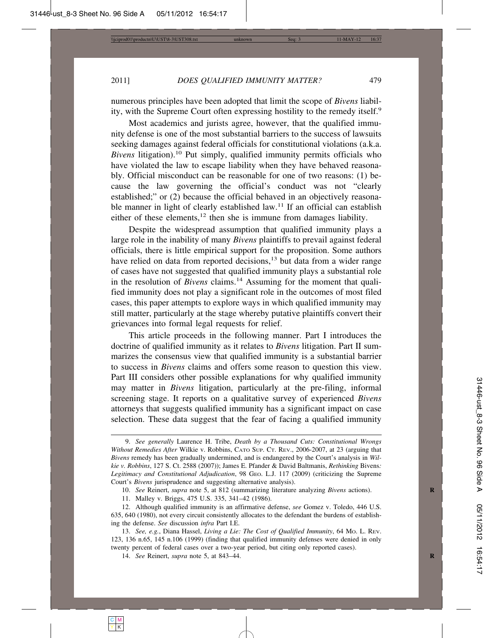numerous principles have been adopted that limit the scope of *Bivens* liability, with the Supreme Court often expressing hostility to the remedy itself.<sup>9</sup>

Most academics and jurists agree, however, that the qualified immunity defense is one of the most substantial barriers to the success of lawsuits seeking damages against federal officials for constitutional violations (a.k.a. *Bivens* litigation).10 Put simply, qualified immunity permits officials who have violated the law to escape liability when they have behaved reasonably. Official misconduct can be reasonable for one of two reasons: (1) because the law governing the official's conduct was not "clearly established;" or (2) because the official behaved in an objectively reasonable manner in light of clearly established law.<sup>11</sup> If an official can establish either of these elements, $12$  then she is immune from damages liability.

Despite the widespread assumption that qualified immunity plays a large role in the inability of many *Bivens* plaintiffs to prevail against federal officials, there is little empirical support for the proposition. Some authors have relied on data from reported decisions,<sup>13</sup> but data from a wider range of cases have not suggested that qualified immunity plays a substantial role in the resolution of *Bivens* claims.<sup>14</sup> Assuming for the moment that qualified immunity does not play a significant role in the outcomes of most filed cases, this paper attempts to explore ways in which qualified immunity may still matter, particularly at the stage whereby putative plaintiffs convert their grievances into formal legal requests for relief.

This article proceeds in the following manner. Part I introduces the doctrine of qualified immunity as it relates to *Bivens* litigation. Part II summarizes the consensus view that qualified immunity is a substantial barrier to success in *Bivens* claims and offers some reason to question this view. Part III considers other possible explanations for why qualified immunity may matter in *Bivens* litigation, particularly at the pre-filing, informal screening stage. It reports on a qualitative survey of experienced *Bivens* attorneys that suggests qualified immunity has a significant impact on case selection. These data suggest that the fear of facing a qualified immunity

14. *See* Reinert, *supra* note 5, at 843–44. **R**

<sup>9.</sup> *See generally* Laurence H. Tribe, *Death by a Thousand Cuts: Constitutional Wrongs Without Remedies After* Wilkie v. Robbins, CATO SUP. CT. REV., 2006-2007, at 23 (arguing that *Bivens* remedy has been gradually undermined, and is endangered by the Court's analysis in *Wilkie v. Robbins*, 127 S. Ct. 2588 (2007)); James E. Pfander & David Baltmanis, *Rethinking* Bivens*: Legitimacy and Constitutional Adjudication*, 98 GEO. L.J. 117 (2009) (criticizing the Supreme Court's *Bivens* jurisprudence and suggesting alternative analysis).

<sup>10.</sup> *See* Reinert, *supra* note 5, at 812 (summarizing literature analyzing *Bivens* actions).

<sup>11.</sup> Malley v. Briggs, 475 U.S. 335, 341–42 (1986).

<sup>12.</sup> Although qualified immunity is an affirmative defense, *see* Gomez v. Toledo, 446 U.S. 635, 640 (1980), not every circuit consistently allocates to the defendant the burdens of establishing the defense. *See* discussion *infra* Part I.E.

<sup>13.</sup> *See, e.g.*, Diana Hassel, *Living a Lie: The Cost of Qualified Immunity*, 64 MO. L. REV. 123, 136 n.65, 145 n.106 (1999) (finding that qualified immunity defenses were denied in only twenty percent of federal cases over a two-year period, but citing only reported cases).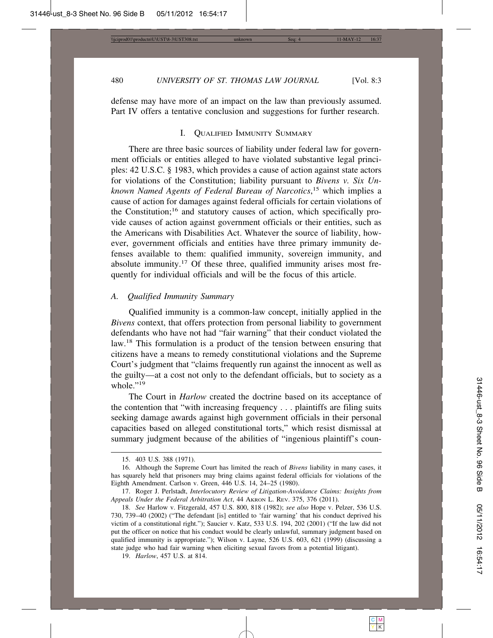defense may have more of an impact on the law than previously assumed. Part IV offers a tentative conclusion and suggestions for further research.

#### I. QUALIFIED IMMUNITY SUMMARY

There are three basic sources of liability under federal law for government officials or entities alleged to have violated substantive legal principles: 42 U.S.C. § 1983, which provides a cause of action against state actors for violations of the Constitution; liability pursuant to *Bivens v. Six Unknown Named Agents of Federal Bureau of Narcotics*, 15 which implies a cause of action for damages against federal officials for certain violations of the Constitution;<sup>16</sup> and statutory causes of action, which specifically provide causes of action against government officials or their entities, such as the Americans with Disabilities Act. Whatever the source of liability, however, government officials and entities have three primary immunity defenses available to them: qualified immunity, sovereign immunity, and absolute immunity.17 Of these three, qualified immunity arises most frequently for individual officials and will be the focus of this article.

#### *A. Qualified Immunity Summary*

Qualified immunity is a common-law concept, initially applied in the *Bivens* context, that offers protection from personal liability to government defendants who have not had "fair warning" that their conduct violated the law.<sup>18</sup> This formulation is a product of the tension between ensuring that citizens have a means to remedy constitutional violations and the Supreme Court's judgment that "claims frequently run against the innocent as well as the guilty—at a cost not only to the defendant officials, but to society as a whole $"19$ 

The Court in *Harlow* created the doctrine based on its acceptance of the contention that "with increasing frequency . . . plaintiffs are filing suits seeking damage awards against high government officials in their personal capacities based on alleged constitutional torts," which resist dismissal at summary judgment because of the abilities of "ingenious plaintiff's coun-

<sup>15. 403</sup> U.S. 388 (1971).

<sup>16.</sup> Although the Supreme Court has limited the reach of *Bivens* liability in many cases, it has squarely held that prisoners may bring claims against federal officials for violations of the Eighth Amendment. Carlson v. Green, 446 U.S. 14, 24–25 (1980).

<sup>17.</sup> Roger J. Perlstadt, *Interlocutory Review of Litigation-Avoidance Claims: Insights from Appeals Under the Federal Arbitration Act*, 44 AKRON L. REV. 375, 376 (2011).

<sup>18.</sup> *See* Harlow v. Fitzgerald, 457 U.S. 800, 818 (1982); *see also* Hope v. Pelzer, 536 U.S. 730, 739–40 (2002) ("The defendant [is] entitled to 'fair warning' that his conduct deprived his victim of a constitutional right."); Saucier v. Katz, 533 U.S. 194, 202 (2001) ("If the law did not put the officer on notice that his conduct would be clearly unlawful, summary judgment based on qualified immunity is appropriate."); Wilson v. Layne, 526 U.S. 603, 621 (1999) (discussing a state judge who had fair warning when eliciting sexual favors from a potential litigant).

<sup>19.</sup> *Harlow*, 457 U.S. at 814.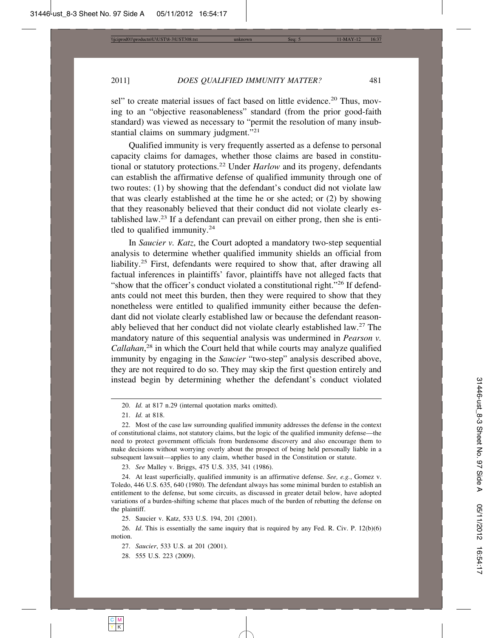sel" to create material issues of fact based on little evidence.<sup>20</sup> Thus, moving to an "objective reasonableness" standard (from the prior good-faith standard) was viewed as necessary to "permit the resolution of many insubstantial claims on summary judgment."<sup>21</sup>

Qualified immunity is very frequently asserted as a defense to personal capacity claims for damages, whether those claims are based in constitutional or statutory protections.22 Under *Harlow* and its progeny, defendants can establish the affirmative defense of qualified immunity through one of two routes: (1) by showing that the defendant's conduct did not violate law that was clearly established at the time he or she acted; or (2) by showing that they reasonably believed that their conduct did not violate clearly established law.23 If a defendant can prevail on either prong, then she is entitled to qualified immunity. $24$ 

In *Saucier v. Katz*, the Court adopted a mandatory two-step sequential analysis to determine whether qualified immunity shields an official from liability.<sup>25</sup> First, defendants were required to show that, after drawing all factual inferences in plaintiffs' favor, plaintiffs have not alleged facts that "show that the officer's conduct violated a constitutional right."26 If defendants could not meet this burden, then they were required to show that they nonetheless were entitled to qualified immunity either because the defendant did not violate clearly established law or because the defendant reasonably believed that her conduct did not violate clearly established law.27 The mandatory nature of this sequential analysis was undermined in *Pearson v. Callahan*, 28 in which the Court held that while courts may analyze qualified immunity by engaging in the *Saucier* "two-step" analysis described above, they are not required to do so. They may skip the first question entirely and instead begin by determining whether the defendant's conduct violated

23. *See* Malley v. Briggs, 475 U.S. 335, 341 (1986).

24. At least superficially, qualified immunity is an affirmative defense. *See, e.g.*, Gomez v. Toledo, 446 U.S. 635, 640 (1980). The defendant always has some minimal burden to establish an entitlement to the defense, but some circuits, as discussed in greater detail below, have adopted variations of a burden-shifting scheme that places much of the burden of rebutting the defense on the plaintiff.

25. Saucier v. Katz, 533 U.S. 194, 201 (2001).

28. 555 U.S. 223 (2009).

<sup>20.</sup> *Id.* at 817 n.29 (internal quotation marks omitted).

<sup>21.</sup> *Id.* at 818.

<sup>22.</sup> Most of the case law surrounding qualified immunity addresses the defense in the context of constitutional claims, not statutory claims, but the logic of the qualified immunity defense—the need to protect government officials from burdensome discovery and also encourage them to make decisions without worrying overly about the prospect of being held personally liable in a subsequent lawsuit—applies to any claim, whether based in the Constitution or statute.

<sup>26.</sup> *Id*. This is essentially the same inquiry that is required by any Fed. R. Civ. P. 12(b)(6) motion.

<sup>27.</sup> *Saucier*, 533 U.S. at 201 (2001).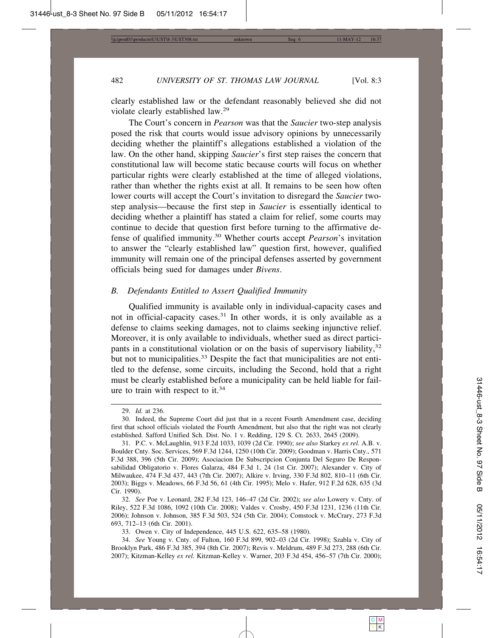clearly established law or the defendant reasonably believed she did not violate clearly established law.<sup>29</sup>

The Court's concern in *Pearson* was that the *Saucier* two-step analysis posed the risk that courts would issue advisory opinions by unnecessarily deciding whether the plaintiff's allegations established a violation of the law. On the other hand, skipping *Saucier*'s first step raises the concern that constitutional law will become static because courts will focus on whether particular rights were clearly established at the time of alleged violations, rather than whether the rights exist at all. It remains to be seen how often lower courts will accept the Court's invitation to disregard the *Saucier* twostep analysis—because the first step in *Saucier* is essentially identical to deciding whether a plaintiff has stated a claim for relief, some courts may continue to decide that question first before turning to the affirmative defense of qualified immunity.30 Whether courts accept *Pearson*'s invitation to answer the "clearly established law" question first, however, qualified immunity will remain one of the principal defenses asserted by government officials being sued for damages under *Bivens*.

## *B. Defendants Entitled to Assert Qualified Immunity*

Qualified immunity is available only in individual-capacity cases and not in official-capacity cases.<sup>31</sup> In other words, it is only available as a defense to claims seeking damages, not to claims seeking injunctive relief. Moreover, it is only available to individuals, whether sued as direct participants in a constitutional violation or on the basis of supervisory liability,  $32$ but not to municipalities.<sup>33</sup> Despite the fact that municipalities are not entitled to the defense, some circuits, including the Second, hold that a right must be clearly established before a municipality can be held liable for failure to train with respect to it.<sup>34</sup>

<sup>29.</sup> *Id.* at 236.

<sup>30.</sup> Indeed, the Supreme Court did just that in a recent Fourth Amendment case, deciding first that school officials violated the Fourth Amendment, but also that the right was not clearly established. Safford Unified Sch. Dist. No. 1 v. Redding, 129 S. Ct. 2633, 2645 (2009).

<sup>31.</sup> P.C. v. McLaughlin, 913 F.2d 1033, 1039 (2d Cir. 1990); *see also* Starkey *ex rel.* A.B. v. Boulder Cnty. Soc. Services, 569 F.3d 1244, 1250 (10th Cir. 2009); Goodman v. Harris Cnty., 571 F.3d 388, 396 (5th Cir. 2009); Asociacion De Subscripcion Conjunta Del Seguro De Responsabilidad Obligatorio v. Flores Galarza, 484 F.3d 1, 24 (1st Cir. 2007); Alexander v. City of Milwaukee, 474 F.3d 437, 443 (7th Cir. 2007); Alkire v. Irving, 330 F.3d 802, 810–11 (6th Cir. 2003); Biggs v. Meadows, 66 F.3d 56, 61 (4th Cir. 1995); Melo v. Hafer, 912 F.2d 628, 635 (3d Cir. 1990).

<sup>32.</sup> *See* Poe v. Leonard, 282 F.3d 123, 146–47 (2d Cir. 2002); *see also* Lowery v. Cnty. of Riley, 522 F.3d 1086, 1092 (10th Cir. 2008); Valdes v. Crosby, 450 F.3d 1231, 1236 (11th Cir. 2006); Johnson v. Johnson, 385 F.3d 503, 524 (5th Cir. 2004); Comstock v. McCrary, 273 F.3d 693, 712–13 (6th Cir. 2001).

<sup>33.</sup> Owen v. City of Independence, 445 U.S. 622, 635–58 (1980).

<sup>34.</sup> *See* Young v. Cnty. of Fulton, 160 F.3d 899, 902–03 (2d Cir. 1998); Szabla v. City of Brooklyn Park, 486 F.3d 385, 394 (8th Cir. 2007); Revis v. Meldrum, 489 F.3d 273, 288 (6th Cir. 2007); Kitzman-Kelley *ex rel.* Kitzman-Kelley v. Warner, 203 F.3d 454, 456–57 (7th Cir. 2000);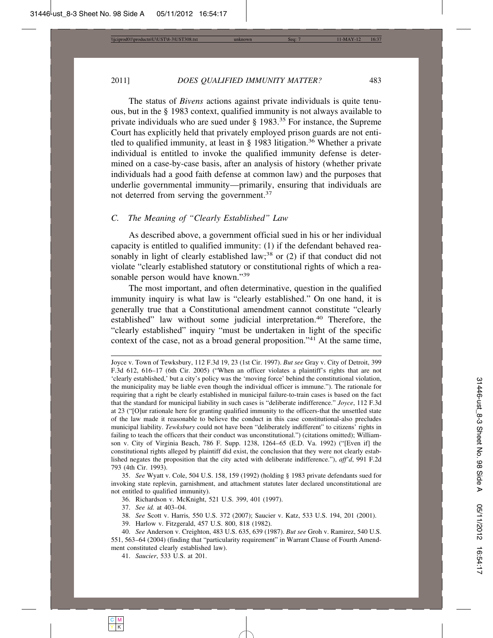The status of *Bivens* actions against private individuals is quite tenuous, but in the § 1983 context, qualified immunity is not always available to private individuals who are sued under § 1983.<sup>35</sup> For instance, the Supreme Court has explicitly held that privately employed prison guards are not entitled to qualified immunity, at least in  $\S$  1983 litigation.<sup>36</sup> Whether a private individual is entitled to invoke the qualified immunity defense is determined on a case-by-case basis, after an analysis of history (whether private individuals had a good faith defense at common law) and the purposes that underlie governmental immunity—primarily, ensuring that individuals are not deterred from serving the government.<sup>37</sup>

#### *C. The Meaning of "Clearly Established" Law*

As described above, a government official sued in his or her individual capacity is entitled to qualified immunity: (1) if the defendant behaved reasonably in light of clearly established law;<sup>38</sup> or  $(2)$  if that conduct did not violate "clearly established statutory or constitutional rights of which a reasonable person would have known."<sup>39</sup>

The most important, and often determinative, question in the qualified immunity inquiry is what law is "clearly established." On one hand, it is generally true that a Constitutional amendment cannot constitute "clearly established" law without some judicial interpretation.<sup>40</sup> Therefore, the "clearly established" inquiry "must be undertaken in light of the specific context of the case, not as a broad general proposition."<sup>41</sup> At the same time,

- 38. *See* Scott v. Harris*,* 550 U.S. 372 (2007); Saucier v. Katz, 533 U.S. 194, 201 (2001).
- 39. Harlow v. Fitzgerald, 457 U.S. 800, 818 (1982).

Joyce v. Town of Tewksbury, 112 F.3d 19, 23 (1st Cir. 1997). *But see* Gray v. City of Detroit, 399 F.3d 612, 616–17 (6th Cir. 2005) ("When an officer violates a plaintiff's rights that are not 'clearly established,' but a city's policy was the 'moving force' behind the constitutional violation, the municipality may be liable even though the individual officer is immune."). The rationale for requiring that a right be clearly established in municipal failure-to-train cases is based on the fact that the standard for municipal liability in such cases is "deliberate indifference." *Joyce*, 112 F.3d at 23 ("[O]ur rationale here for granting qualified immunity to the officers-that the unsettled state of the law made it reasonable to believe the conduct in this case constitutional-also precludes municipal liability. *Tewksbury* could not have been "deliberately indifferent" to citizens' rights in failing to teach the officers that their conduct was unconstitutional.") (citations omitted); Williamson v. City of Virginia Beach, 786 F. Supp. 1238, 1264–65 (E.D. Va. 1992) ("[Even if] the constitutional rights alleged by plaintiff did exist, the conclusion that they were not clearly established negates the proposition that the city acted with deliberate indifference."), *aff'd*, 991 F.2d 793 (4th Cir. 1993).

<sup>35.</sup> *See* Wyatt v. Cole, 504 U.S. 158, 159 (1992) (holding § 1983 private defendants sued for invoking state replevin, garnishment, and attachment statutes later declared unconstitutional are not entitled to qualified immunity).

<sup>36.</sup> Richardson v. McKnight, 521 U.S. 399, 401 (1997).

<sup>37.</sup> *See id.* at 403–04.

<sup>40.</sup> *See* Anderson v. Creighton, 483 U.S. 635, 639 (1987). *But see* Groh v. Ramirez, 540 U.S. 551, 563–64 (2004) (finding that "particularity requirement" in Warrant Clause of Fourth Amendment constituted clearly established law).

<sup>41.</sup> *Saucier*, 533 U.S. at 201.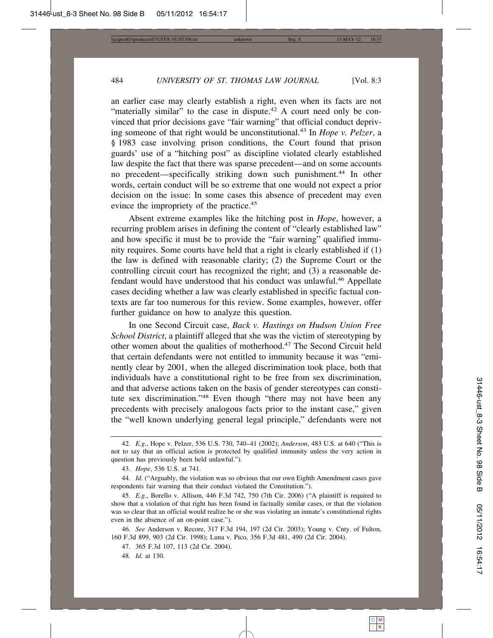an earlier case may clearly establish a right, even when its facts are not "materially similar" to the case in dispute.<sup>42</sup> A court need only be convinced that prior decisions gave "fair warning" that official conduct depriving someone of that right would be unconstitutional.43 In *Hope v. Pelzer*, a § 1983 case involving prison conditions, the Court found that prison guards' use of a "hitching post" as discipline violated clearly established law despite the fact that there was sparse precedent—and on some accounts no precedent—specifically striking down such punishment.<sup>44</sup> In other words, certain conduct will be so extreme that one would not expect a prior decision on the issue: In some cases this absence of precedent may even evince the impropriety of the practice.<sup>45</sup>

Absent extreme examples like the hitching post in *Hope*, however, a recurring problem arises in defining the content of "clearly established law" and how specific it must be to provide the "fair warning" qualified immunity requires. Some courts have held that a right is clearly established if (1) the law is defined with reasonable clarity; (2) the Supreme Court or the controlling circuit court has recognized the right; and (3) a reasonable defendant would have understood that his conduct was unlawful.<sup>46</sup> Appellate cases deciding whether a law was clearly established in specific factual contexts are far too numerous for this review. Some examples, however, offer further guidance on how to analyze this question.

In one Second Circuit case, *Back v. Hastings on Hudson Union Free School District*, a plaintiff alleged that she was the victim of stereotyping by other women about the qualities of motherhood.47 The Second Circuit held that certain defendants were not entitled to immunity because it was "eminently clear by 2001, when the alleged discrimination took place, both that individuals have a constitutional right to be free from sex discrimination, and that adverse actions taken on the basis of gender stereotypes can constitute sex discrimination."48 Even though "there may not have been any precedents with precisely analogous facts prior to the instant case," given the "well known underlying general legal principle," defendants were not

47. 365 F.3d 107, 113 (2d Cir. 2004).

48. *Id.* at 130.

<sup>42.</sup> *E.g.*, Hope v. Pelzer, 536 U.S. 730, 740–41 (2002); *Anderson*, 483 U.S. at 640 ("This is not to say that an official action is protected by qualified immunity unless the very action in question has previously been held unlawful.").

<sup>43.</sup> *Hope*, 536 U.S. at 741.

<sup>44.</sup> *Id.* ("Arguably, the violation was so obvious that our own Eighth Amendment cases gave respondents fair warning that their conduct violated the Constitution.").

<sup>45.</sup> *E.g.*, Borello v. Allison, 446 F.3d 742, 750 (7th Cir. 2006) ("A plaintiff is required to show that a violation of that right has been found in factually similar cases, or that the violation was so clear that an official would realize he or she was violating an inmate's constitutional rights even in the absence of an on-point case.").

<sup>46.</sup> *See* Anderson v. Recore, 317 F.3d 194, 197 (2d Cir. 2003); Young v. Cnty. of Fulton, 160 F.3d 899, 903 (2d Cir. 1998); Luna v. Pico, 356 F.3d 481, 490 (2d Cir. 2004).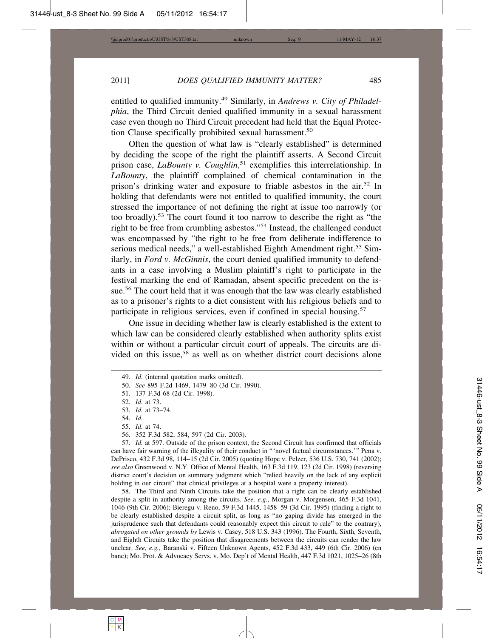entitled to qualified immunity.49 Similarly, in *Andrews v. City of Philadelphia*, the Third Circuit denied qualified immunity in a sexual harassment case even though no Third Circuit precedent had held that the Equal Protection Clause specifically prohibited sexual harassment.<sup>50</sup>

Often the question of what law is "clearly established" is determined by deciding the scope of the right the plaintiff asserts. A Second Circuit prison case, *LaBounty v. Coughlin*, 51 exemplifies this interrelationship. In *LaBounty*, the plaintiff complained of chemical contamination in the prison's drinking water and exposure to friable asbestos in the air.52 In holding that defendants were not entitled to qualified immunity, the court stressed the importance of not defining the right at issue too narrowly (or too broadly).53 The court found it too narrow to describe the right as "the right to be free from crumbling asbestos."54 Instead, the challenged conduct was encompassed by "the right to be free from deliberate indifference to serious medical needs," a well-established Eighth Amendment right.<sup>55</sup> Similarly, in *Ford v. McGinnis*, the court denied qualified immunity to defendants in a case involving a Muslim plaintiff's right to participate in the festival marking the end of Ramadan, absent specific precedent on the issue.<sup>56</sup> The court held that it was enough that the law was clearly established as to a prisoner's rights to a diet consistent with his religious beliefs and to participate in religious services, even if confined in special housing.<sup>57</sup>

One issue in deciding whether law is clearly established is the extent to which law can be considered clearly established when authority splits exist within or without a particular circuit court of appeals. The circuits are divided on this issue,<sup>58</sup> as well as on whether district court decisions alone

- 50. *See* 895 F.2d 1469, 1479–80 (3d Cir. 1990).
- 51. 137 F.3d 68 (2d Cir. 1998).

55. *Id.* at 74.

57. *Id.* at 597. Outside of the prison context, the Second Circuit has confirmed that officials can have fair warning of the illegality of their conduct in "'novel factual circumstances.'" Pena v. DePrisco, 432 F.3d 98, 114–15 (2d Cir. 2005) (quoting Hope v. Pelzer, 536 U.S. 730, 741 (2002); *see also* Greenwood v. N.Y. Office of Mental Health, 163 F.3d 119, 123 (2d Cir. 1998) (reversing district court's decision on summary judgment which "relied heavily on the lack of any explicit holding in our circuit" that clinical privileges at a hospital were a property interest).

58. The Third and Ninth Circuits take the position that a right can be clearly established despite a split in authority among the circuits. *See, e.g.*, Morgan v. Morgensen, 465 F.3d 1041, 1046 (9th Cir. 2006); Bieregu v. Reno, 59 F.3d 1445, 1458–59 (3d Cir. 1995) (finding a right to be clearly established despite a circuit split, as long as "no gaping divide has emerged in the jurisprudence such that defendants could reasonably expect this circuit to rule" to the contrary), *abrogated on other grounds by* Lewis v. Casey, 518 U.S. 343 (1996). The Fourth, Sixth, Seventh, and Eighth Circuits take the position that disagreements between the circuits can render the law unclear. *See, e.g.*, Baranski v. Fifteen Unknown Agents, 452 F.3d 433, 449 (6th Cir. 2006) (en banc); Mo. Prot. & Advocacy Servs. v. Mo. Dep't of Mental Health, 447 F.3d 1021, 1025–26 (8th

<sup>49.</sup> *Id.* (internal quotation marks omitted).

<sup>52.</sup> *Id.* at 73.

<sup>53.</sup> *Id.* at 73–74.

<sup>54.</sup> *Id.*

<sup>56. 352</sup> F.3d 582, 584, 597 (2d Cir. 2003).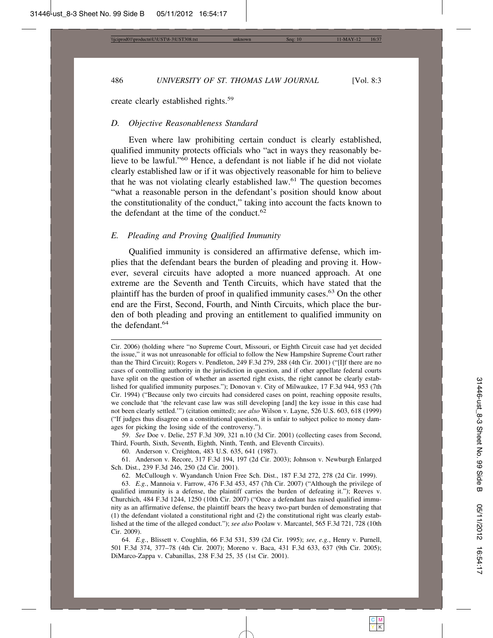create clearly established rights.<sup>59</sup>

#### *D. Objective Reasonableness Standard*

Even where law prohibiting certain conduct is clearly established, qualified immunity protects officials who "act in ways they reasonably believe to be lawful."60 Hence, a defendant is not liable if he did not violate clearly established law or if it was objectively reasonable for him to believe that he was not violating clearly established law.61 The question becomes "what a reasonable person in the defendant's position should know about the constitutionality of the conduct," taking into account the facts known to the defendant at the time of the conduct. $62$ 

#### *E. Pleading and Proving Qualified Immunity*

Qualified immunity is considered an affirmative defense, which implies that the defendant bears the burden of pleading and proving it. However, several circuits have adopted a more nuanced approach. At one extreme are the Seventh and Tenth Circuits, which have stated that the plaintiff has the burden of proof in qualified immunity cases.63 On the other end are the First, Second, Fourth, and Ninth Circuits, which place the burden of both pleading and proving an entitlement to qualified immunity on the defendant.<sup>64</sup>

59. *See* Doe v. Delie, 257 F.3d 309, 321 n.10 (3d Cir. 2001) (collecting cases from Second, Third, Fourth, Sixth, Seventh, Eighth, Ninth, Tenth, and Eleventh Circuits).

60. Anderson v. Creighton, 483 U.S. 635, 641 (1987).

61. Anderson v. Recore, 317 F.3d 194, 197 (2d Cir. 2003); Johnson v. Newburgh Enlarged Sch. Dist., 239 F.3d 246, 250 (2d Cir. 2001).

62. McCullough v. Wyandanch Union Free Sch. Dist., 187 F.3d 272, 278 (2d Cir. 1999).

63. *E.g.*, Mannoia v. Farrow, 476 F.3d 453, 457 (7th Cir. 2007) ("Although the privilege of qualified immunity is a defense, the plaintiff carries the burden of defeating it."); Reeves v. Churchich, 484 F.3d 1244, 1250 (10th Cir. 2007) ("Once a defendant has raised qualified immunity as an affirmative defense, the plaintiff bears the heavy two-part burden of demonstrating that (1) the defendant violated a constitutional right and (2) the constitutional right was clearly established at the time of the alleged conduct."); *see also* Poolaw v. Marcantel, 565 F.3d 721, 728 (10th Cir. 2009).

64. *E.g.*, Blissett v. Coughlin, 66 F.3d 531, 539 (2d Cir. 1995); *see, e.g.*, Henry v. Purnell, 501 F.3d 374, 377–78 (4th Cir. 2007); Moreno v. Baca, 431 F.3d 633, 637 (9th Cir. 2005); DiMarco-Zappa v. Cabanillas, 238 F.3d 25, 35 (1st Cir. 2001).

Cir. 2006) (holding where "no Supreme Court, Missouri, or Eighth Circuit case had yet decided the issue," it was not unreasonable for official to follow the New Hampshire Supreme Court rather than the Third Circuit); Rogers v. Pendleton, 249 F.3d 279, 288 (4th Cir. 2001) ("[I]f there are no cases of controlling authority in the jurisdiction in question, and if other appellate federal courts have split on the question of whether an asserted right exists, the right cannot be clearly established for qualified immunity purposes."); Donovan v. City of Milwaukee, 17 F.3d 944, 953 (7th Cir. 1994) ("Because only two circuits had considered cases on point, reaching opposite results, we conclude that 'the relevant case law was still developing [and] the key issue in this case had not been clearly settled.'") (citation omitted); *see also* Wilson v. Layne, 526 U.S. 603, 618 (1999) ("If judges thus disagree on a constitutional question, it is unfair to subject police to money damages for picking the losing side of the controversy.").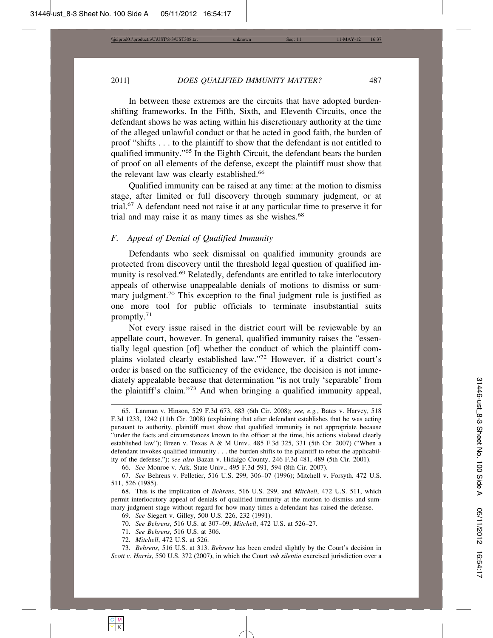In between these extremes are the circuits that have adopted burdenshifting frameworks. In the Fifth, Sixth, and Eleventh Circuits, once the defendant shows he was acting within his discretionary authority at the time of the alleged unlawful conduct or that he acted in good faith, the burden of proof "shifts . . . to the plaintiff to show that the defendant is not entitled to qualified immunity."65 In the Eighth Circuit, the defendant bears the burden of proof on all elements of the defense, except the plaintiff must show that the relevant law was clearly established.<sup>66</sup>

Qualified immunity can be raised at any time: at the motion to dismiss stage, after limited or full discovery through summary judgment, or at trial.67 A defendant need not raise it at any particular time to preserve it for trial and may raise it as many times as she wishes.<sup>68</sup>

#### *F. Appeal of Denial of Qualified Immunity*

Defendants who seek dismissal on qualified immunity grounds are protected from discovery until the threshold legal question of qualified immunity is resolved.<sup>69</sup> Relatedly, defendants are entitled to take interlocutory appeals of otherwise unappealable denials of motions to dismiss or summary judgment.<sup>70</sup> This exception to the final judgment rule is justified as one more tool for public officials to terminate insubstantial suits promptly.71

Not every issue raised in the district court will be reviewable by an appellate court, however. In general, qualified immunity raises the "essentially legal question [of] whether the conduct of which the plaintiff complains violated clearly established law."72 However, if a district court's order is based on the sufficiency of the evidence, the decision is not immediately appealable because that determination "is not truly 'separable' from the plaintiff's claim."73 And when bringing a qualified immunity appeal,

66. *See* Monroe v. Ark. State Univ., 495 F.3d 591, 594 (8th Cir. 2007).

69. *See* Siegert v. Gilley, 500 U.S. 226, 232 (1991).

70. *See Behrens*, 516 U.S. at 307–09; *Mitchell*, 472 U.S. at 526–27.

71. *See Behrens*, 516 U.S. at 306.

72. *Mitchell*, 472 U.S. at 526.

73. *Behrens*, 516 U.S. at 313. *Behrens* has been eroded slightly by the Court's decision in *Scott v. Harris*, 550 U.S. 372 (2007), in which the Court *sub silentio* exercised jurisdiction over a

<sup>65.</sup> Lanman v. Hinson, 529 F.3d 673, 683 (6th Cir. 2008); *see, e.g.*, Bates v. Harvey, 518 F.3d 1233, 1242 (11th Cir. 2008) (explaining that after defendant establishes that he was acting pursuant to authority, plaintiff must show that qualified immunity is not appropriate because "under the facts and circumstances known to the officer at the time, his actions violated clearly established law"); Breen v. Texas A & M Univ., 485 F.3d 325, 331 (5th Cir. 2007) ("When a defendant invokes qualified immunity . . . the burden shifts to the plaintiff to rebut the applicability of the defense."); *see also* Bazan v. Hidalgo County, 246 F.3d 481, 489 (5th Cir. 2001).

<sup>67.</sup> *See* Behrens v. Pelletier, 516 U.S. 299, 306–07 (1996); Mitchell v. Forsyth*,* 472 U.S. 511, 526 (1985).

<sup>68.</sup> This is the implication of *Behrens*, 516 U.S. 299, and *Mitchell*, 472 U.S. 511, which permit interlocutory appeal of denials of qualified immunity at the motion to dismiss and summary judgment stage without regard for how many times a defendant has raised the defense.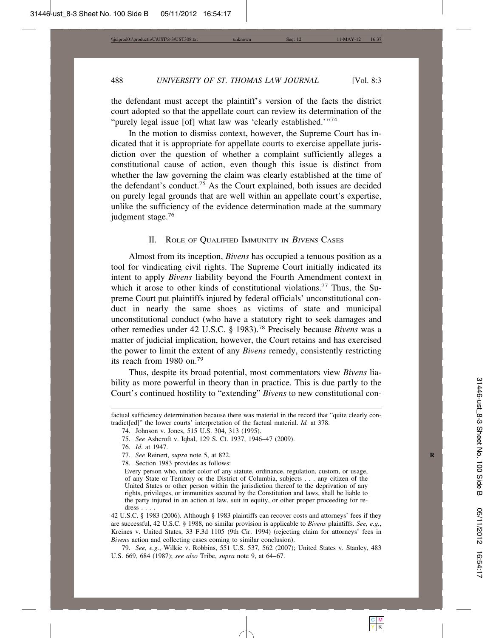the defendant must accept the plaintiff's version of the facts the district court adopted so that the appellate court can review its determination of the "purely legal issue [of] what law was 'clearly established.'"74

In the motion to dismiss context, however, the Supreme Court has indicated that it is appropriate for appellate courts to exercise appellate jurisdiction over the question of whether a complaint sufficiently alleges a constitutional cause of action, even though this issue is distinct from whether the law governing the claim was clearly established at the time of the defendant's conduct.75 As the Court explained, both issues are decided on purely legal grounds that are well within an appellate court's expertise, unlike the sufficiency of the evidence determination made at the summary judgment stage.<sup>76</sup>

#### II. ROLE OF QUALIFIED IMMUNITY IN BIVENS CASES

Almost from its inception, *Bivens* has occupied a tenuous position as a tool for vindicating civil rights. The Supreme Court initially indicated its intent to apply *Bivens* liability beyond the Fourth Amendment context in which it arose to other kinds of constitutional violations.<sup>77</sup> Thus, the Supreme Court put plaintiffs injured by federal officials' unconstitutional conduct in nearly the same shoes as victims of state and municipal unconstitutional conduct (who have a statutory right to seek damages and other remedies under 42 U.S.C. § 1983).78 Precisely because *Bivens* was a matter of judicial implication, however, the Court retains and has exercised the power to limit the extent of any *Bivens* remedy, consistently restricting its reach from 1980 on.<sup>79</sup>

Thus, despite its broad potential, most commentators view *Bivens* liability as more powerful in theory than in practice. This is due partly to the Court's continued hostility to "extending" *Bivens* to new constitutional con-

79. *See, e.g.*, Wilkie v. Robbins, 551 U.S. 537, 562 (2007); United States v. Stanley, 483 U.S. 669, 684 (1987); *see also* Tribe, *supra* note 9, at 64–67.

factual sufficiency determination because there was material in the record that "quite clearly contradict[ed]" the lower courts' interpretation of the factual material. *Id.* at 378.

<sup>74.</sup> Johnson v. Jones, 515 U.S. 304, 313 (1995).

<sup>75.</sup> *See* Ashcroft v. Iqbal, 129 S. Ct. 1937, 1946–47 (2009).

<sup>76.</sup> *Id.* at 1947.

<sup>77.</sup> *See* Reinert, *supra* note 5, at 822. **R**

<sup>78.</sup> Section 1983 provides as follows:

Every person who, under color of any statute, ordinance, regulation, custom, or usage, of any State or Territory or the District of Columbia, subjects . . . any citizen of the United States or other person within the jurisdiction thereof to the deprivation of any rights, privileges, or immunities secured by the Constitution and laws, shall be liable to the party injured in an action at law, suit in equity, or other proper proceeding for redress . . . .

<sup>42</sup> U.S.C. § 1983 (2006). Although § 1983 plaintiffs can recover costs and attorneys' fees if they are successful, 42 U.S.C. § 1988, no similar provision is applicable to *Bivens* plaintiffs. *See, e.g.*, Kreines v. United States, 33 F.3d 1105 (9th Cir. 1994) (rejecting claim for attorneys' fees in *Bivens* action and collecting cases coming to similar conclusion).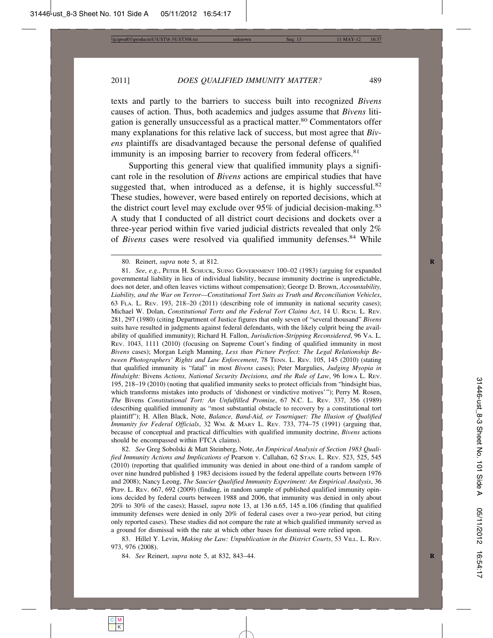texts and partly to the barriers to success built into recognized *Bivens* causes of action. Thus, both academics and judges assume that *Bivens* litigation is generally unsuccessful as a practical matter.<sup>80</sup> Commentators offer many explanations for this relative lack of success, but most agree that *Bivens* plaintiffs are disadvantaged because the personal defense of qualified immunity is an imposing barrier to recovery from federal officers.<sup>81</sup>

Supporting this general view that qualified immunity plays a significant role in the resolution of *Bivens* actions are empirical studies that have suggested that, when introduced as a defense, it is highly successful.<sup>82</sup> These studies, however, were based entirely on reported decisions, which at the district court level may exclude over  $95\%$  of judicial decision-making.<sup>83</sup> A study that I conducted of all district court decisions and dockets over a three-year period within five varied judicial districts revealed that only 2% of *Bivens* cases were resolved via qualified immunity defenses.<sup>84</sup> While

82. *See* Greg Sobolski & Matt Steinberg, Note, *An Empirical Analysis of Section 1983 Qualified Immunity Actions and Implications of* Pearson v. Callahan, 62 STAN. L. REV. 523, 525, 545 (2010) (reporting that qualified immunity was denied in about one-third of a random sample of over nine hundred published § 1983 decisions issued by the federal appellate courts between 1976 and 2008); Nancy Leong, *The Saucier Qualified Immunity Experiment: An Empirical Analysis*, 36 PEPP. L. REV. 667, 692 (2009) (finding, in random sample of published qualified immunity opinions decided by federal courts between 1988 and 2006, that immunity was denied in only about 20% to 30% of the cases); Hassel, *supra* note 13, at 136 n.65, 145 n.106 (finding that qualified immunity defenses were denied in only 20% of federal cases over a two-year period, but citing only reported cases). These studies did not compare the rate at which qualified immunity served as a ground for dismissal with the rate at which other bases for dismissal were relied upon.

83. Hillel Y. Levin, *Making the Law: Unpublication in the District Courts*, 53 VILL. L. REV. 973, 976 (2008).

84. *See* Reinert, *supra* note 5, at 832, 843–44. **R**

<sup>80.</sup> Reinert, *supra* note 5, at 812. **R**

<sup>81.</sup> *See*, *e.g.*, PETER H. SCHUCK, SUING GOVERNMENT 100–02 (1983) (arguing for expanded governmental liability in lieu of individual liability, because immunity doctrine is unpredictable, does not deter, and often leaves victims without compensation); George D. Brown, *Accountability, Liability, and the War on Terror—Constitutional Tort Suits as Truth and Reconciliation Vehicles*, 63 FLA. L. REV. 193, 218–20 (2011) (describing role of immunity in national security cases); Michael W. Dolan, *Constitutional Torts and the Federal Tort Claims Act*, 14 U. RICH. L. REV. 281, 297 (1980) (citing Department of Justice figures that only seven of "several thousand" *Bivens* suits have resulted in judgments against federal defendants, with the likely culprit being the availability of qualified immunity); Richard H. Fallon, *Jurisdiction-Stripping Reconsidered*, 96 VA. L. REV. 1043, 1111 (2010) (focusing on Supreme Court's finding of qualified immunity in most *Bivens* cases); Morgan Leigh Manning, *Less than Picture Perfect: The Legal Relationship Between Photographers' Rights and Law Enforcement*, 78 TENN. L. REV. 105, 145 (2010) (stating that qualified immunity is "fatal" in most *Bivens* cases); Peter Margulies, *Judging Myopia in Hindsight:* Bivens *Actions, National Security Decisions, and the Rule of Law*, 96 IOWA L. REV. 195, 218–19 (2010) (noting that qualified immunity seeks to protect officials from "hindsight bias, which transforms mistakes into products of 'dishonest or vindictive motives'"); Perry M. Rosen, *The* Bivens *Constitutional Tort: An Unfulfilled Promise*, 67 N.C. L. REV. 337, 356 (1989) (describing qualified immunity as "most substantial obstacle to recovery by a constitutional tort plaintiff"); H. Allen Black, Note, *Balance, Band-Aid, or Tourniquet: The Illusion of Qualified Immunity for Federal Officials*, 32 WM. & MARY L. REV. 733, 774–75 (1991) (arguing that, because of conceptual and practical difficulties with qualified immunity doctrine, *Bivens* actions should be encompassed within FTCA claims).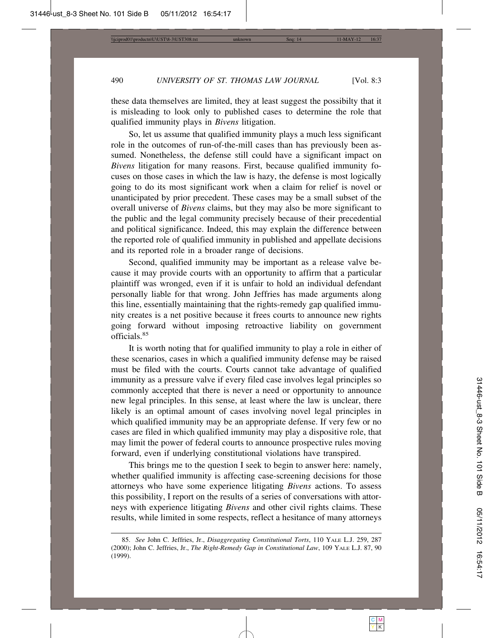these data themselves are limited, they at least suggest the possibilty that it is misleading to look only to published cases to determine the role that qualified immunity plays in *Bivens* litigation.

So, let us assume that qualified immunity plays a much less significant role in the outcomes of run-of-the-mill cases than has previously been assumed. Nonetheless, the defense still could have a significant impact on *Bivens* litigation for many reasons. First, because qualified immunity focuses on those cases in which the law is hazy, the defense is most logically going to do its most significant work when a claim for relief is novel or unanticipated by prior precedent. These cases may be a small subset of the overall universe of *Bivens* claims, but they may also be more significant to the public and the legal community precisely because of their precedential and political significance. Indeed, this may explain the difference between the reported role of qualified immunity in published and appellate decisions and its reported role in a broader range of decisions.

Second, qualified immunity may be important as a release valve because it may provide courts with an opportunity to affirm that a particular plaintiff was wronged, even if it is unfair to hold an individual defendant personally liable for that wrong. John Jeffries has made arguments along this line, essentially maintaining that the rights-remedy gap qualified immunity creates is a net positive because it frees courts to announce new rights going forward without imposing retroactive liability on government officials.<sup>85</sup>

It is worth noting that for qualified immunity to play a role in either of these scenarios, cases in which a qualified immunity defense may be raised must be filed with the courts. Courts cannot take advantage of qualified immunity as a pressure valve if every filed case involves legal principles so commonly accepted that there is never a need or opportunity to announce new legal principles. In this sense, at least where the law is unclear, there likely is an optimal amount of cases involving novel legal principles in which qualified immunity may be an appropriate defense. If very few or no cases are filed in which qualified immunity may play a dispositive role, that may limit the power of federal courts to announce prospective rules moving forward, even if underlying constitutional violations have transpired.

This brings me to the question I seek to begin to answer here: namely, whether qualified immunity is affecting case-screening decisions for those attorneys who have some experience litigating *Bivens* actions. To assess this possibility, I report on the results of a series of conversations with attorneys with experience litigating *Bivens* and other civil rights claims. These results, while limited in some respects, reflect a hesitance of many attorneys

<sup>85.</sup> *See* John C. Jeffries, Jr., *Disaggregating Constitutional Torts*, 110 YALE L.J. 259, 287 (2000); John C. Jeffries, Jr., *The Right-Remedy Gap in Constitutional Law*, 109 YALE L.J. 87, 90 (1999).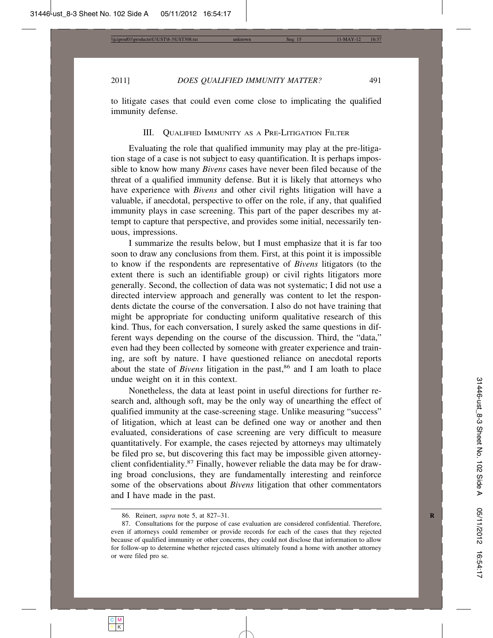to litigate cases that could even come close to implicating the qualified immunity defense.

## III. QUALIFIED IMMUNITY AS A PRE-LITIGATION FILTER

Evaluating the role that qualified immunity may play at the pre-litigation stage of a case is not subject to easy quantification. It is perhaps impossible to know how many *Bivens* cases have never been filed because of the threat of a qualified immunity defense. But it is likely that attorneys who have experience with *Bivens* and other civil rights litigation will have a valuable, if anecdotal, perspective to offer on the role, if any, that qualified immunity plays in case screening. This part of the paper describes my attempt to capture that perspective, and provides some initial, necessarily tenuous, impressions.

I summarize the results below, but I must emphasize that it is far too soon to draw any conclusions from them. First, at this point it is impossible to know if the respondents are representative of *Bivens* litigators (to the extent there is such an identifiable group) or civil rights litigators more generally. Second, the collection of data was not systematic; I did not use a directed interview approach and generally was content to let the respondents dictate the course of the conversation. I also do not have training that might be appropriate for conducting uniform qualitative research of this kind. Thus, for each conversation, I surely asked the same questions in different ways depending on the course of the discussion. Third, the "data," even had they been collected by someone with greater experience and training, are soft by nature. I have questioned reliance on anecdotal reports about the state of *Bivens* litigation in the past,<sup>86</sup> and I am loath to place undue weight on it in this context.

Nonetheless, the data at least point in useful directions for further research and, although soft, may be the only way of unearthing the effect of qualified immunity at the case-screening stage. Unlike measuring "success" of litigation, which at least can be defined one way or another and then evaluated, considerations of case screening are very difficult to measure quantitatively. For example, the cases rejected by attorneys may ultimately be filed pro se, but discovering this fact may be impossible given attorneyclient confidentiality.87 Finally, however reliable the data may be for drawing broad conclusions, they are fundamentally interesting and reinforce some of the observations about *Bivens* litigation that other commentators and I have made in the past.

<sup>86.</sup> Reinert, *supra* note 5, at 827–31. **R**

<sup>87.</sup> Consultations for the purpose of case evaluation are considered confidential. Therefore, even if attorneys could remember or provide records for each of the cases that they rejected because of qualified immunity or other concerns, they could not disclose that information to allow for follow-up to determine whether rejected cases ultimately found a home with another attorney or were filed pro se.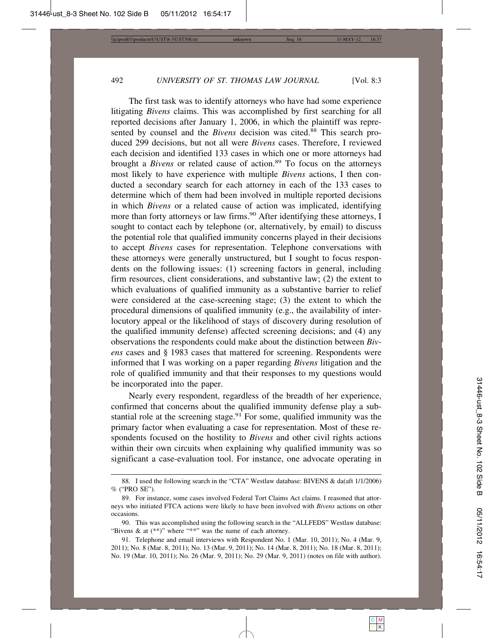The first task was to identify attorneys who have had some experience litigating *Bivens* claims. This was accomplished by first searching for all reported decisions after January 1, 2006, in which the plaintiff was represented by counsel and the *Bivens* decision was cited.<sup>88</sup> This search produced 299 decisions, but not all were *Bivens* cases. Therefore, I reviewed each decision and identified 133 cases in which one or more attorneys had brought a *Bivens* or related cause of action.<sup>89</sup> To focus on the attorneys most likely to have experience with multiple *Bivens* actions, I then conducted a secondary search for each attorney in each of the 133 cases to determine which of them had been involved in multiple reported decisions in which *Bivens* or a related cause of action was implicated, identifying more than forty attorneys or law firms.<sup>90</sup> After identifying these attorneys, I sought to contact each by telephone (or, alternatively, by email) to discuss the potential role that qualified immunity concerns played in their decisions to accept *Bivens* cases for representation. Telephone conversations with these attorneys were generally unstructured, but I sought to focus respondents on the following issues: (1) screening factors in general, including firm resources, client considerations, and substantive law; (2) the extent to which evaluations of qualified immunity as a substantive barrier to relief were considered at the case-screening stage; (3) the extent to which the procedural dimensions of qualified immunity (e.g., the availability of interlocutory appeal or the likelihood of stays of discovery during resolution of the qualified immunity defense) affected screening decisions; and (4) any observations the respondents could make about the distinction between *Bivens* cases and § 1983 cases that mattered for screening. Respondents were informed that I was working on a paper regarding *Bivens* litigation and the role of qualified immunity and that their responses to my questions would be incorporated into the paper.

Nearly every respondent, regardless of the breadth of her experience, confirmed that concerns about the qualified immunity defense play a substantial role at the screening stage.<sup>91</sup> For some, qualified immunity was the primary factor when evaluating a case for representation. Most of these respondents focused on the hostility to *Bivens* and other civil rights actions within their own circuits when explaining why qualified immunity was so significant a case-evaluation tool. For instance, one advocate operating in

<sup>88.</sup> I used the following search in the "CTA" Westlaw database: BIVENS & da(aft 1/1/2006) % ("PRO SE").

<sup>89.</sup> For instance, some cases involved Federal Tort Claims Act claims. I reasoned that attorneys who initiated FTCA actions were likely to have been involved with *Bivens* actions on other occasions.

<sup>90.</sup> This was accomplished using the following search in the "ALLFEDS" Westlaw database: "Bivens & at  $(**)$ " where "\*\*" was the name of each attorney.

<sup>91.</sup> Telephone and email interviews with Respondent No. 1 (Mar. 10, 2011); No. 4 (Mar. 9, 2011); No. 8 (Mar. 8, 2011); No. 13 (Mar. 9, 2011); No. 14 (Mar. 8, 2011); No. 18 (Mar. 8, 2011); No. 19 (Mar. 10, 2011); No. 26 (Mar. 9, 2011); No. 29 (Mar. 9, 2011) (notes on file with author).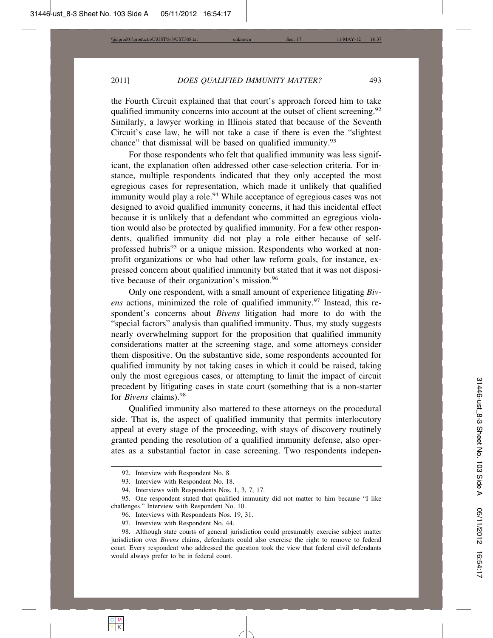the Fourth Circuit explained that that court's approach forced him to take qualified immunity concerns into account at the outset of client screening.<sup>92</sup> Similarly, a lawyer working in Illinois stated that because of the Seventh Circuit's case law, he will not take a case if there is even the "slightest chance" that dismissal will be based on qualified immunity.<sup>93</sup>

For those respondents who felt that qualified immunity was less significant, the explanation often addressed other case-selection criteria. For instance, multiple respondents indicated that they only accepted the most egregious cases for representation, which made it unlikely that qualified immunity would play a role.<sup>94</sup> While acceptance of egregious cases was not designed to avoid qualified immunity concerns, it had this incidental effect because it is unlikely that a defendant who committed an egregious violation would also be protected by qualified immunity. For a few other respondents, qualified immunity did not play a role either because of selfprofessed hubris<sup>95</sup> or a unique mission. Respondents who worked at nonprofit organizations or who had other law reform goals, for instance, expressed concern about qualified immunity but stated that it was not dispositive because of their organization's mission.<sup>96</sup>

Only one respondent, with a small amount of experience litigating *Bivens* actions, minimized the role of qualified immunity.<sup>97</sup> Instead, this respondent's concerns about *Bivens* litigation had more to do with the "special factors" analysis than qualified immunity. Thus, my study suggests nearly overwhelming support for the proposition that qualified immunity considerations matter at the screening stage, and some attorneys consider them dispositive. On the substantive side, some respondents accounted for qualified immunity by not taking cases in which it could be raised, taking only the most egregious cases, or attempting to limit the impact of circuit precedent by litigating cases in state court (something that is a non-starter for *Bivens* claims).<sup>98</sup>

Qualified immunity also mattered to these attorneys on the procedural side. That is, the aspect of qualified immunity that permits interlocutory appeal at every stage of the proceeding, with stays of discovery routinely granted pending the resolution of a qualified immunity defense, also operates as a substantial factor in case screening. Two respondents indepen-

<sup>92.</sup> Interview with Respondent No. 8.

<sup>93.</sup> Interview with Respondent No. 18.

<sup>94.</sup> Interviews with Respondents Nos. 1, 3, 7, 17.

<sup>95.</sup> One respondent stated that qualified immunity did not matter to him because "I like challenges." Interview with Respondent No. 10.

<sup>96.</sup> Interviews with Respondents Nos. 19, 31.

<sup>97.</sup> Interview with Respondent No. 44.

<sup>98.</sup> Although state courts of general jurisdiction could presumably exercise subject matter jurisdiction over *Bivens* claims, defendants could also exercise the right to remove to federal court. Every respondent who addressed the question took the view that federal civil defendants would always prefer to be in federal court.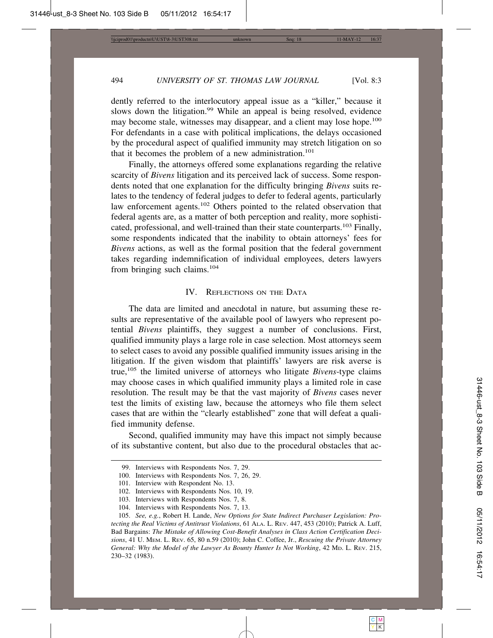dently referred to the interlocutory appeal issue as a "killer," because it slows down the litigation.<sup>99</sup> While an appeal is being resolved, evidence may become stale, witnesses may disappear, and a client may lose hope.<sup>100</sup> For defendants in a case with political implications, the delays occasioned by the procedural aspect of qualified immunity may stretch litigation on so that it becomes the problem of a new administration.<sup>101</sup>

Finally, the attorneys offered some explanations regarding the relative scarcity of *Bivens* litigation and its perceived lack of success. Some respondents noted that one explanation for the difficulty bringing *Bivens* suits relates to the tendency of federal judges to defer to federal agents, particularly law enforcement agents.<sup>102</sup> Others pointed to the related observation that federal agents are, as a matter of both perception and reality, more sophisticated, professional, and well-trained than their state counterparts.<sup>103</sup> Finally, some respondents indicated that the inability to obtain attorneys' fees for *Bivens* actions, as well as the formal position that the federal government takes regarding indemnification of individual employees, deters lawyers from bringing such claims.104

#### IV. REFLECTIONS ON THE DATA

The data are limited and anecdotal in nature, but assuming these results are representative of the available pool of lawyers who represent potential *Bivens* plaintiffs, they suggest a number of conclusions. First, qualified immunity plays a large role in case selection. Most attorneys seem to select cases to avoid any possible qualified immunity issues arising in the litigation. If the given wisdom that plaintiffs' lawyers are risk averse is true,105 the limited universe of attorneys who litigate *Bivens*-type claims may choose cases in which qualified immunity plays a limited role in case resolution. The result may be that the vast majority of *Bivens* cases never test the limits of existing law, because the attorneys who file them select cases that are within the "clearly established" zone that will defeat a qualified immunity defense.

Second, qualified immunity may have this impact not simply because of its substantive content, but also due to the procedural obstacles that ac-

<sup>99.</sup> Interviews with Respondents Nos. 7, 29.

<sup>100.</sup> Interviews with Respondents Nos. 7, 26, 29.

<sup>101.</sup> Interview with Respondent No. 13.

<sup>102.</sup> Interviews with Respondents Nos. 10, 19.

<sup>103.</sup> Interviews with Respondents Nos. 7, 8.

<sup>104.</sup> Interviews with Respondents Nos. 7, 13.

<sup>105.</sup> *See, e.g.*, Robert H. Lande, *New Options for State Indirect Purchaser Legislation: Protecting the Real Victims of Antitrust Violations*, 61 ALA. L. REV. 447, 453 (2010); Patrick A. Luff, Bad Bargains: *The Mistake of Allowing Cost-Benefit Analyses in Class Action Certification Decisions*, 41 U. MEM. L. REV. 65, 80 n.59 (2010); John C. Coffee, Jr., *Rescuing the Private Attorney General: Why the Model of the Lawyer As Bounty Hunter Is Not Working*, 42 MD. L. REV. 215, 230–32 (1983).